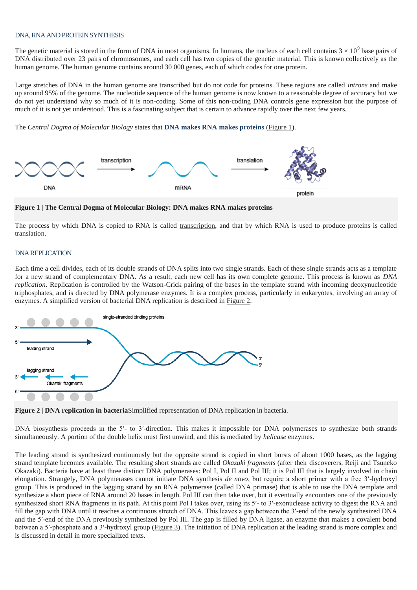## DNA, RNA AND PROTEINSYNTHESIS

The genetic material is stored in the form of DNA in most organisms. In humans, the nucleus of each cell contains  $3 \times 10^9$  base pairs of DNA distributed over 23 pairs of chromosomes, and each cell has two copies of the genetic material. This is known collectively as the human genome. The human genome contains around 30 000 genes, each of which codes for one protein.

Large stretches of DNA in the human genome are transcribed but do not code for proteins. These regions are called *introns* and make up around 95% of the genome. The nucleotide sequence of the human genome is now known to a reasonable degree of accuracy but we do not yet understand why so much of it is non-coding. Some of this non-coding DNA controls gene expression but the purpose of much of it is not yet understood. This is a fascinating subject that is certain to advance rapidly over the next few years.

The *Central Dogma of Molecular Biology* states that **DNA makes RNA makes proteins** [\(Figure 1\)](http://www.atdbio.com/content/14/Transcription-Translation-and-Replication#figure-central-dogma).



**Figure 1** | **The Central Dogma of Molecular Biology: DNA makes RNA makes proteins**

The process by which DNA is copied to RNA is called [transcription,](http://www.atdbio.com/content/14/Transcription-Translation-and-Replication#Transcription) and that by which RNA is used to produce proteins is called [translation.](http://www.atdbio.com/content/14/Transcription-Translation-and-Replication#Translation)

## DNA REPLICATION

Each time a cell divides, each of its double strands of DNA splits into two single strands. Each of these single strands acts as a template for a new strand of complementary DNA. As a result, each new cell has its own complete genome. This process is known as *DNA replication*. Replication is controlled by the Watson-Crick pairing of the bases in the template strand with incoming deoxynucleotide triphosphates, and is directed by DNA polymerase enzymes. It is a complex process, particularly in eukaryotes, involving an array of enzymes. A simplified version of bacterial DNA replication is described in [Figure 2.](http://www.atdbio.com/content/14/Transcription-Translation-and-Replication#figure-DNA-replication)



**Figure 2** | **DNA replication in bacteria**Simplified representation of DNA replication in bacteria.

DNA biosynthesis proceeds in the 5'- to 3'-direction. This makes it impossible for DNA polymerases to synthesize both strands simultaneously. A portion of the double helix must first unwind, and this is mediated by *helicase* enzymes.

The leading strand is synthesized continuously but the opposite strand is copied in short bursts of about 1000 bases, as the lagging strand template becomes available. The resulting short strands are called *Okazaki fragments* (after their discoverers, Reiji and Tsuneko Okazaki). Bacteria have at least three distinct DNA polymerases: Pol I, Pol II and Pol III; it is Pol III that is largely involved in chain elongation. Strangely, DNA polymerases cannot initiate DNA synthesis *de novo*, but require a short primer with a free 3′-hydroxyl group. This is produced in the lagging strand by an RNA polymerase (called DNA primase) that is able to use the DNA template and synthesize a short piece of RNA around 20 bases in length. Pol III can then take over, but it eventually encounters one of the previously synthesized short RNA fragments in its path. At this point Pol I takes over, using its 5′- to 3′-exonuclease activity to digest the RNA and fill the gap with DNA until it reaches a continuous stretch of DNA. This leaves a gap between the 3′-end of the newly synthesized DNA and the 5′-end of the DNA previously synthesized by Pol III. The gap is filled by DNA ligase, an enzyme that makes a covalent bond between a 5′-phosphate and a 3′-hydroxyl group [\(Figure 3\)](http://www.atdbio.com/content/14/Transcription-Translation-and-Replication#figure-DNA-replication-polymerases). The initiation of DNA replication at the leading strand is more complex and is discussed in detail in more specialized texts.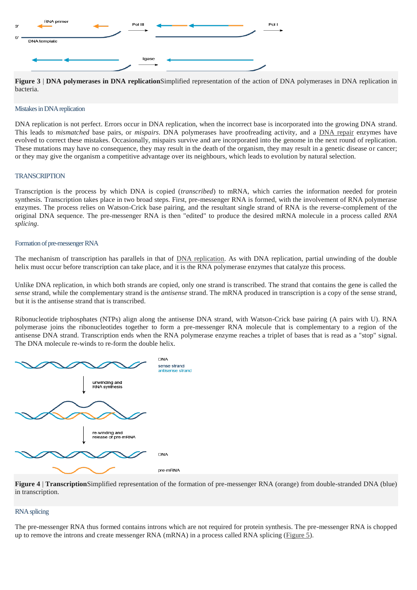

**Figure 3** | **DNA polymerases in DNA replication**Simplified representation of the action of DNA polymerases in DNA replication in bacteria.

#### Mistakes in DNA replication

DNA replication is not perfect. Errors occur in DNA replication, when the incorrect base is incorporated into the growing DNA strand. This leads to *mismatched* base pairs, or *mispairs*. DNA polymerases have proofreading activity, and a [DNA repair](http://www.atdbio.com/content/15/Mutagenesis-and-DNA-repair#DNA-repair-mechanisms) enzymes have evolved to correct these mistakes. Occasionally, mispairs survive and are incorporated into the genome in the next round of replication. These mutations may have no consequence, they may result in the death of the organism, they may result in a genetic disease or cancer; or they may give the organism a competitive advantage over its neighbours, which leads to evolution by natural selection.

## **TRANSCRIPTION**

Transcription is the process by which DNA is copied (*transcribed*) to mRNA, which carries the information needed for protein synthesis. Transcription takes place in two broad steps. First, pre-messenger RNA is formed, with the involvement of RNA polymerase enzymes. The process relies on Watson-Crick base pairing, and the resultant single strand of RNA is the reverse-complement of the original DNA sequence. The pre-messenger RNA is then "edited" to produce the desired mRNA molecule in a process called *RNA splicing*.

#### Formation of pre-messenger RNA

The mechanism of transcription has parallels in that of [DNA replication.](http://www.atdbio.com/content/14/Transcription-Translation-and-Replication#DNA-replication) As with DNA replication, partial unwinding of the double helix must occur before transcription can take place, and it is the RNA polymerase enzymes that catalyze this process.

Unlike DNA replication, in which both strands are copied, only one strand is transcribed. The strand that contains the gene is called the *sense* strand, while the complementary strand is the *antisense* strand. The mRNA produced in transcription is a copy of the sense strand, but it is the antisense strand that is transcribed.

Ribonucleotide triphosphates (NTPs) align along the antisense DNA strand, with Watson-Crick base pairing (A pairs with U). RNA polymerase joins the ribonucleotides together to form a pre-messenger RNA molecule that is complementary to a region of the antisense DNA strand. Transcription ends when the RNA polymerase enzyme reaches a triplet of bases that is read as a "stop" signal. The DNA molecule re-winds to re-form the double helix.



**Figure 4** | **Transcription**Simplified representation of the formation of pre-messenger RNA (orange) from double-stranded DNA (blue) in transcription.

### RNA splicing

The pre-messenger RNA thus formed contains introns which are not required for protein synthesis. The pre-messenger RNA is chopped up to remove the introns and create messenger RNA (mRNA) in a process called RNA splicing [\(Figure 5\)](http://www.atdbio.com/content/14/Transcription-Translation-and-Replication#figure-RNA-splicing).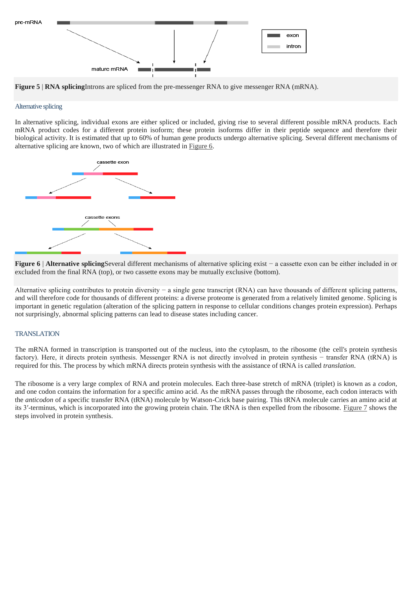



**Figure 5** | **RNA splicing**Introns are spliced from the pre-messenger RNA to give messenger RNA (mRNA).

### Alternative splicing

In alternative splicing, individual exons are either spliced or included, giving rise to several different possible mRNA products. Each mRNA product codes for a different protein isoform; these protein isoforms differ in their peptide sequence and therefore their biological activity. It is estimated that up to 60% of human gene products undergo alternative splicing. Several different mechanisms of alternative splicing are known, two of which are illustrated in [Figure 6.](http://www.atdbio.com/content/14/Transcription-Translation-and-Replication#figure-alternative-splicing)



**Figure 6** | **Alternative splicing**Several different mechanisms of alternative splicing exist − a cassette exon can be either included in or excluded from the final RNA (top), or two cassette exons may be mutually exclusive (bottom).

Alternative splicing contributes to protein diversity − a single gene transcript (RNA) can have thousands of different splicing patterns, and will therefore code for thousands of different proteins: a diverse proteome is generated from a relatively limited genome. Splicing is important in genetic regulation (alteration of the splicing pattern in response to cellular conditions changes protein expression). Perhaps not surprisingly, abnormal splicing patterns can lead to disease states including cancer.

### **TRANSLATION**

The mRNA formed in transcription is transported out of the nucleus, into the cytoplasm, to the ribosome (the cell's protein synthesis factory). Here, it directs protein synthesis. Messenger RNA is not directly involved in protein synthesis − transfer RNA (tRNA) is required for this. The process by which mRNA directs protein synthesis with the assistance of tRNA is called *translation*.

The ribosome is a very large complex of RNA and protein molecules. Each three-base stretch of mRNA (triplet) is known as a *codon*, and one codon contains the information for a specific amino acid. As the mRNA passes through the ribosome, each codon interacts with the *anticodon* of a specific transfer RNA (tRNA) molecule by Watson-Crick base pairing. This tRNA molecule carries an amino acid at its 3′-terminus, which is incorporated into the growing protein chain. The tRNA is then expelled from the ribosome. [Figure 7](http://www.atdbio.com/content/14/Transcription-Translation-and-Replication#figure-translation) shows the steps involved in protein synthesis.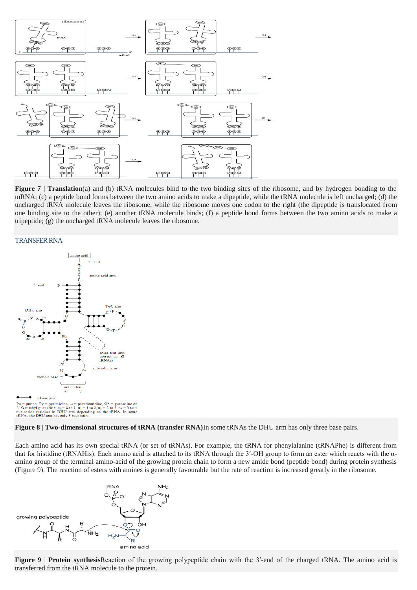

**Figure 7** | **Translation**(a) and (b) tRNA molecules bind to the two binding sites of the ribosome, and by hydrogen bonding to the mRNA; (c) a peptide bond forms between the two amino acids to make a dipeptide, while the tRNA molecule is left uncharged; (d) the uncharged tRNA molecule leaves the ribosome, while the ribosome moves one codon to the right (the dipeptide is translocated from one binding site to the other); (e) another tRNA molecule binds; (f) a peptide bond forms between the two amino acids to make a tripeptide; (g) the uncharged tRNA molecule leaves the ribosome.

#### TRANSFER RNA



**Figure 8** | **Two-dimensional structures of tRNA (transfer RNA)**In some tRNAs the DHU arm has only three base pairs.

Each amino acid has its own special tRNA (or set of tRNAs). For example, the tRNA for phenylalanine (tRNAPhe) is different from that for histidine (tRNAHis). Each amino acid is attached to its tRNA through the 3′-OH group to form an ester which reacts with the αamino group of the terminal amino-acid of the growing protein chain to form a new amide bond (peptide bond) during protein synthesis [\(Figure 9\)](http://www.atdbio.com/content/14/Transcription-Translation-and-Replication#figure-protein-synthesis-tRNA). The reaction of esters with amines is generally favourable but the rate of reaction is increased greatly in the ribosome.



**Figure 9** | **Protein synthesis**Reaction of the growing polypeptide chain with the 3'-end of the charged tRNA. The amino acid is transferred from the tRNA molecule to the protein.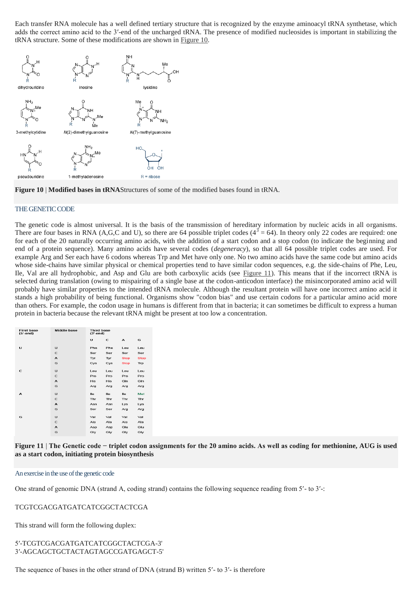Each transfer RNA molecule has a well defined tertiary structure that is recognized by the enzyme aminoacyl tRNA synthetase, which adds the correct amino acid to the 3′-end of the uncharged tRNA. The presence of modified nucleosides is important in stabilizing the tRNA structure. Some of these modifications are shown in [Figure 10.](http://www.atdbio.com/content/14/Transcription-Translation-and-Replication#figure-tRNA-modified-bases)





## THE GENETIC CODE

The genetic code is almost universal. It is the basis of the transmission of hereditary information by nucleic acids in all organisms. There are four bases in RNA (A,G,C and U), so there are 64 possible triplet codes  $(4^3 = 64)$ . In theory only 22 codes are required: one for each of the 20 naturally occurring amino acids, with the addition of a start codon and a stop codon (to indicate the beginning and end of a protein sequence). Many amino acids have several codes (*degeneracy*), so that all 64 possible triplet codes are used. For example Arg and Ser each have 6 codons whereas Trp and Met have only one. No two amino acids have the same code but amino acids whose side-chains have similar physical or chemical properties tend to have similar codon sequences, e.g. the side-chains of Phe, Leu, Ile, Val are all hydrophobic, and Asp and Glu are both carboxylic acids (see [Figure 11\)](http://www.atdbio.com/content/14/Transcription-Translation-and-Replication#figure-genetic-code). This means that if the incorrect tRNA is selected during translation (owing to mispairing of a single base at the codon-anticodon interface) the misincorporated amino acid will probably have similar properties to the intended tRNA molecule. Although the resultant protein will have one incorrect amino acid it stands a high probability of being functional. Organisms show "codon bias" and use certain codons for a particular amino acid more than others. For example, the codon usage in humans is different from that in bacteria; it can sometimes be difficult to express a human protein in bacteria because the relevant tRNA might be present at too low a concentration.

| <b>First base</b><br>$(5'-end)$ | <b>Middle base</b> | <b>Third base</b><br>$(3'-end)$ |            |             |             |
|---------------------------------|--------------------|---------------------------------|------------|-------------|-------------|
|                                 |                    | U                               | c          | А           | G           |
| U                               | U                  | Phe                             | Phe        | Leu         | Leu         |
|                                 | C                  | Ser                             | Ser        | Ser         | Ser         |
|                                 | A                  | Tyr                             | Tyr        | <b>Stop</b> | <b>Stop</b> |
|                                 | G                  | Cys                             | Cys        | <b>Stop</b> | Trp         |
| C                               | U                  | Leu                             | Leu        | Leu         | Leu         |
|                                 | $\mathbf C$        | Pro                             | Pro        | Pro         | Pro         |
|                                 | $\mathbf{A}$       | <b>His</b>                      | <b>His</b> | GIn         | GIn         |
|                                 | G                  | Arg                             | Arg        | Arg         | Arg         |
| A                               | U                  | <b>lle</b>                      | lle        | lle         | Met         |
|                                 | $\mathbf C$        | <b>Thr</b>                      | Thr        | Thr         | Thr         |
|                                 | A                  | Asn                             | Asn        | Lys         | Lys         |
|                                 | G                  | Ser                             | Ser        | Ara         | Ara         |
| G                               | U                  | Val                             | Val        | Val         | Val         |
|                                 | C                  | Ala                             | Ala        | Ala         | Ala         |
|                                 | $\overline{A}$     | Asp                             | Asp        | Glu         | Glu         |
|                                 | G                  | Gly                             | Gly        | Gly         | Gly         |
|                                 |                    |                                 |            |             |             |



#### An exercise in the use of the genetic code

One strand of genomic DNA (strand A, coding strand) contains the following sequence reading from 5′- to 3′-:

### TCGTCGACGATGATCATCGGCTACTCGA

This strand will form the following duplex:

# 5′-TCGTCGACGATGATCATCGGCTACTCGA-3' 3′-AGCAGCTGCTACTAGTAGCCGATGAGCT-5'